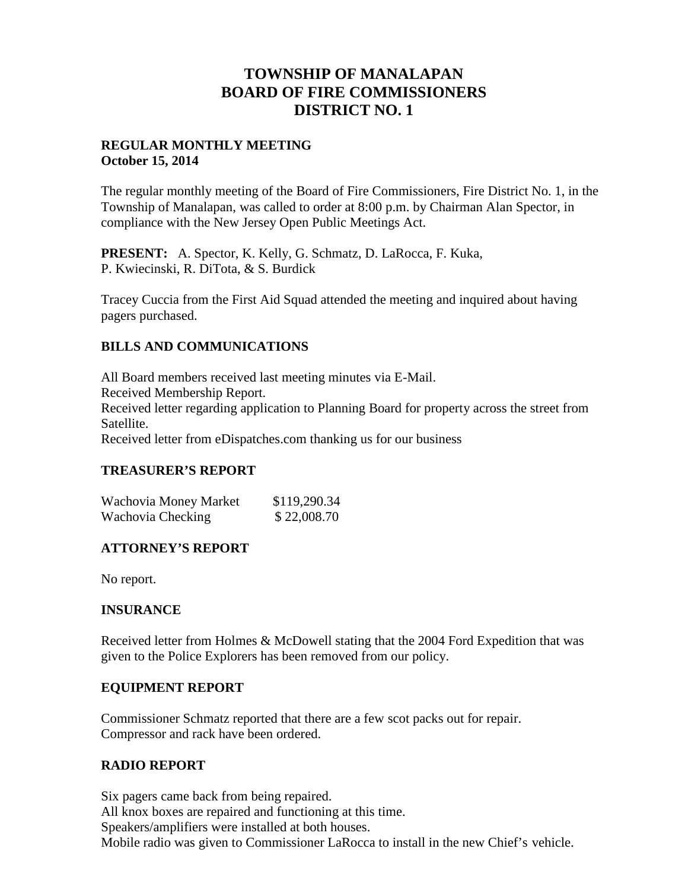# **TOWNSHIP OF MANALAPAN BOARD OF FIRE COMMISSIONERS DISTRICT NO. 1**

## **REGULAR MONTHLY MEETING October 15, 2014**

The regular monthly meeting of the Board of Fire Commissioners, Fire District No. 1, in the Township of Manalapan, was called to order at 8:00 p.m. by Chairman Alan Spector, in compliance with the New Jersey Open Public Meetings Act.

**PRESENT:** A. Spector, K. Kelly, G. Schmatz, D. LaRocca, F. Kuka, P. Kwiecinski, R. DiTota, & S. Burdick

Tracey Cuccia from the First Aid Squad attended the meeting and inquired about having pagers purchased.

## **BILLS AND COMMUNICATIONS**

All Board members received last meeting minutes via E-Mail. Received Membership Report. Received letter regarding application to Planning Board for property across the street from Satellite. Received letter from eDispatches.com thanking us for our business

## **TREASURER'S REPORT**

| Wachovia Money Market | \$119,290.34 |  |
|-----------------------|--------------|--|
| Wachovia Checking     | \$22,008.70  |  |

## **ATTORNEY'S REPORT**

No report.

## **INSURANCE**

Received letter from Holmes & McDowell stating that the 2004 Ford Expedition that was given to the Police Explorers has been removed from our policy.

## **EQUIPMENT REPORT**

Commissioner Schmatz reported that there are a few scot packs out for repair. Compressor and rack have been ordered.

## **RADIO REPORT**

Six pagers came back from being repaired. All knox boxes are repaired and functioning at this time. Speakers/amplifiers were installed at both houses. Mobile radio was given to Commissioner LaRocca to install in the new Chief's vehicle.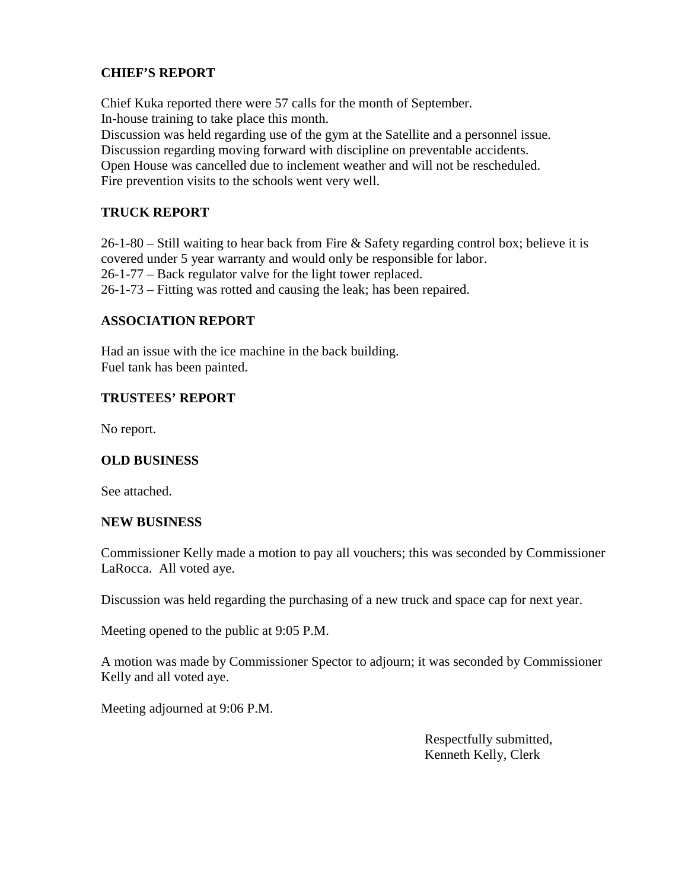## **CHIEF'S REPORT**

Chief Kuka reported there were 57 calls for the month of September. In-house training to take place this month. Discussion was held regarding use of the gym at the Satellite and a personnel issue. Discussion regarding moving forward with discipline on preventable accidents. Open House was cancelled due to inclement weather and will not be rescheduled. Fire prevention visits to the schools went very well.

## **TRUCK REPORT**

26-1-80 – Still waiting to hear back from Fire & Safety regarding control box; believe it is covered under 5 year warranty and would only be responsible for labor. 26-1-77 – Back regulator valve for the light tower replaced. 26-1-73 – Fitting was rotted and causing the leak; has been repaired.

#### **ASSOCIATION REPORT**

Had an issue with the ice machine in the back building. Fuel tank has been painted.

## **TRUSTEES' REPORT**

No report.

## **OLD BUSINESS**

See attached.

#### **NEW BUSINESS**

Commissioner Kelly made a motion to pay all vouchers; this was seconded by Commissioner LaRocca. All voted aye.

Discussion was held regarding the purchasing of a new truck and space cap for next year.

Meeting opened to the public at 9:05 P.M.

A motion was made by Commissioner Spector to adjourn; it was seconded by Commissioner Kelly and all voted aye.

Meeting adjourned at 9:06 P.M.

Respectfully submitted, Kenneth Kelly, Clerk